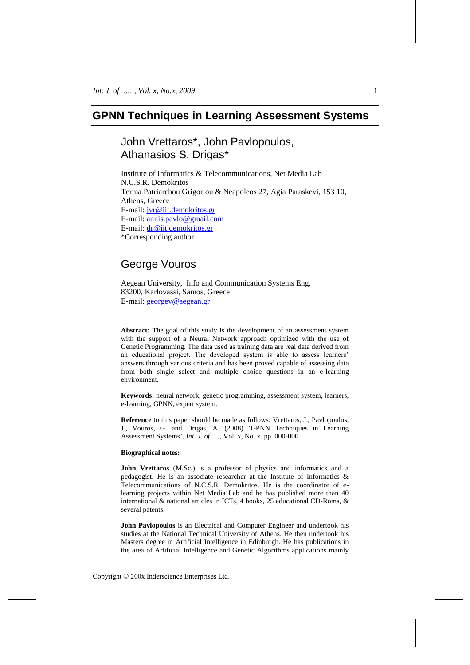## **GPNN Techniques in Learning Assessment Systems**

# John Vrettaros\*, John Pavlopoulos, Athanasios S. Drigas\*

Institute of Informatics & Telecommunications, Net Media Lab N.C.S.R. Demokritos Terma Patriarchou Grigoriou & Neapoleos 27, Agia Paraskevi, 153 10, Athens, Greece E-mail: [jvr@iit.demokritos.gr](mailto:jvr@iit.demokritos.gr) E-mail: [annis.pavlo@gmail.com](mailto:annis.pavlo@gmail.com) E-mail: dr@iit.demokritos.gr \*Corresponding author

### George Vouros

Aegean University, Info and Communication Systems Eng, 83200, Karlovassi, Samos, Greece E-mail: [georgev@aegean.gr](mailto:georgev@aegean.gr)

Abstract: The goal of this study is the development of an assessment system with the support of a Neural Network approach optimized with the use of Genetic Programming. The data used as training data are real data derived from an educational project. The developed system is able to assess learners" answers through various criteria and has been proved capable of assessing data from both single select and multiple choice questions in an e-learning environment.

**Keywords:** neural network, genetic programming, assessment system, learners, e-learning, GPNN, expert system.

**Reference** to this paper should be made as follows: Vrettaros, J., Pavlopoulos, J., Vouros, G. and Drigas, A. (2008) "GPNN Techniques in Learning Assessment Systems", *Int. J. of …,* Vol. x, No. x. pp. 000-000

#### **Biographical notes:**

**John Vrettaros** (M.Sc.) is a professor of physics and informatics and a pedagogist. He is an associate researcher at the Institute of Informatics & Telecommunications of N.C.S.R. Demokritos. He is the coordinator of elearning projects within Net Media Lab and he has published more than 40 international & national articles in ICTs, 4 books, 25 educational CD-Roms, & several patents.

**John Pavlopoulos** is an Electrical and Computer Engineer and undertook his studies at the National Technical University of Athens. He then undertook his Masters degree in Artificial Intelligence in Edinburgh. He has publications in the area of Artificial Intelligence and Genetic Algorithms applications mainly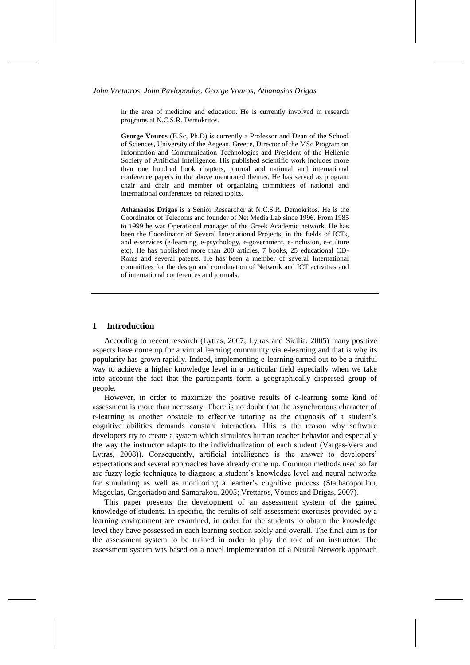in the area of medicine and education. He is currently involved in research programs at N.C.S.R. Demokritos.

**George Vouros** (B.Sc, Ph.D) is currently a Professor and Dean of the School of Sciences, University of the Aegean, Greece, Director of the MSc Program on Information and Communication Technologies and President of the Hellenic Society of Artificial Intelligence. His published scientific work includes more than one hundred book chapters, journal and national and international conference papers in the above mentioned themes. He has served as program chair and chair and member of organizing committees of national and international conferences on related topics.

**Athanasios Drigas** is a Senior Researcher at N.C.S.R. Demokritos. He is the Coordinator of Telecoms and founder of Net Media Lab since 1996. From 1985 to 1999 he was Operational manager of the Greek Academic network. He has been the Coordinator of Several International Projects, in the fields of ICTs, and e-services (e-learning, e-psychology, e-government, e-inclusion, e-culture etc). He has published more than 200 articles, 7 books, 25 educational CD-Roms and several patents. He has been a member of several International committees for the design and coordination of Network and ICT activities and of international conferences and journals.

#### **1 Introduction**

According to recent research (Lytras, 2007; Lytras and Sicilia, 2005) many positive aspects have come up for a virtual learning community via e-learning and that is why its popularity has grown rapidly. Indeed, implementing e-learning turned out to be a fruitful way to achieve a higher knowledge level in a particular field especially when we take into account the fact that the participants form a geographically dispersed group of people.

However, in order to maximize the positive results of e-learning some kind of assessment is more than necessary. There is no doubt that the asynchronous character of e-learning is another obstacle to effective tutoring as the diagnosis of a student"s cognitive abilities demands constant interaction. This is the reason why software developers try to create a system which simulates human teacher behavior and especially the way the instructor adapts to the individualization of each student (Vargas-Vera and Lytras, 2008)). Consequently, artificial intelligence is the answer to developers' expectations and several approaches have already come up. Common methods used so far are fuzzy logic techniques to diagnose a student"s knowledge level and neural networks for simulating as well as monitoring a learner"s cognitive process (Stathacopoulou, Magoulas, Grigoriadou and Samarakou, 2005; Vrettaros, Vouros and Drigas, 2007).

This paper presents the development of an assessment system of the gained knowledge of students. In specific, the results of self-assessment exercises provided by a learning environment are examined, in order for the students to obtain the knowledge level they have possessed in each learning section solely and overall. The final aim is for the assessment system to be trained in order to play the role of an instructor. The assessment system was based on a novel implementation of a Neural Network approach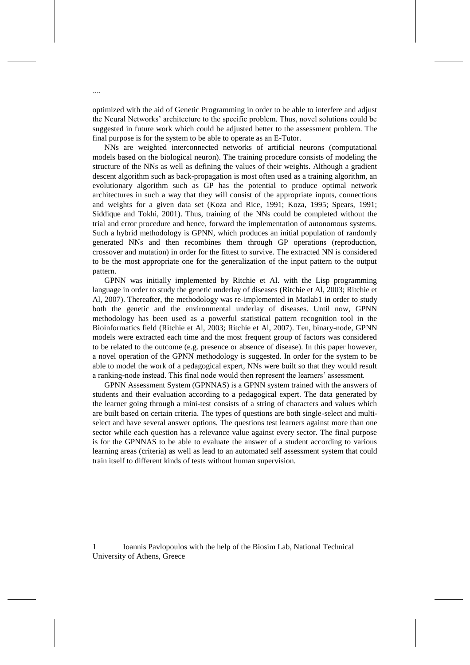optimized with the aid of Genetic Programming in order to be able to interfere and adjust the Neural Networks" architecture to the specific problem. Thus, novel solutions could be suggested in future work which could be adjusted better to the assessment problem. The final purpose is for the system to be able to operate as an E-Tutor.

NNs are weighted interconnected networks of artificial neurons (computational models based on the biological neuron). The training procedure consists of modeling the structure of the NNs as well as defining the values of their weights. Although a gradient descent algorithm such as back-propagation is most often used as a training algorithm, an evolutionary algorithm such as GP has the potential to produce optimal network architectures in such a way that they will consist of the appropriate inputs, connections and weights for a given data set (Koza and Rice, 1991; Koza, 1995; Spears, 1991; Siddique and Tokhi, 2001). Thus, training of the NNs could be completed without the trial and error procedure and hence, forward the implementation of autonomous systems. Such a hybrid methodology is GPNN, which produces an initial population of randomly generated NNs and then recombines them through GP operations (reproduction, crossover and mutation) in order for the fittest to survive. The extracted NN is considered to be the most appropriate one for the generalization of the input pattern to the output pattern.

GPNN was initially implemented by Ritchie et Al. with the Lisp programming language in order to study the genetic underlay of diseases (Ritchie et Al, 2003; Ritchie et Al, 2007). Thereafter, the methodology was re-implemented in Matlab1 in order to study both the genetic and the environmental underlay of diseases. Until now, GPNN methodology has been used as a powerful statistical pattern recognition tool in the Bioinformatics field (Ritchie et Al, 2003; Ritchie et Al, 2007). Ten, binary-node, GPNN models were extracted each time and the most frequent group of factors was considered to be related to the outcome (e.g. presence or absence of disease). In this paper however, a novel operation of the GPNN methodology is suggested. In order for the system to be able to model the work of a pedagogical expert, NNs were built so that they would result a ranking-node instead. This final node would then represent the learners" assessment.

GPNN Assessment System (GPNNAS) is a GPNN system trained with the answers of students and their evaluation according to a pedagogical expert. The data generated by the learner going through a mini-test consists of a string of characters and values which are built based on certain criteria. The types of questions are both single-select and multiselect and have several answer options. The questions test learners against more than one sector while each question has a relevance value against every sector. The final purpose is for the GPNNAS to be able to evaluate the answer of a student according to various learning areas (criteria) as well as lead to an automated self assessment system that could train itself to different kinds of tests without human supervision.

....

 $\overline{a}$ 

<sup>1</sup> Ioannis Pavlopoulos with the help of the Biosim Lab, National Technical University of Athens, Greece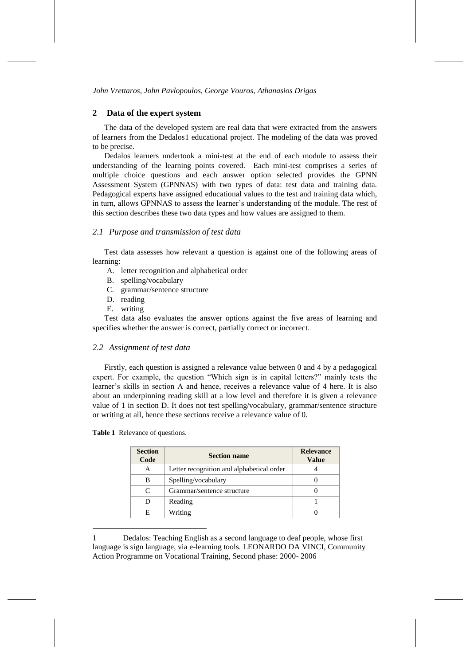#### **2 Data of the expert system**

The data of the developed system are real data that were extracted from the answers of learners from the Dedalos1 educational project. The modeling of the data was proved to be precise.

Dedalos learners undertook a mini-test at the end of each module to assess their understanding of the learning points covered. Each mini-test comprises a series of multiple choice questions and each answer option selected provides the GPNN Assessment System (GPNNAS) with two types of data: test data and training data. Pedagogical experts have assigned educational values to the test and training data which, in turn, allows GPNNAS to assess the learner"s understanding of the module. The rest of this section describes these two data types and how values are assigned to them.

#### *2.1 Purpose and transmission of test data*

Test data assesses how relevant a question is against one of the following areas of learning:

- A. letter recognition and alphabetical order
- B. spelling/vocabulary
- C. grammar/sentence structure
- D. reading
- E. writing

Test data also evaluates the answer options against the five areas of learning and specifies whether the answer is correct, partially correct or incorrect.

#### *2.2 Assignment of test data*

Firstly, each question is assigned a relevance value between 0 and 4 by a pedagogical expert. For example, the question "Which sign is in capital letters?" mainly tests the learner's skills in section A and hence, receives a relevance value of 4 here. It is also about an underpinning reading skill at a low level and therefore it is given a relevance value of 1 in section D. It does not test spelling/vocabulary, grammar/sentence structure or writing at all, hence these sections receive a relevance value of 0.

**Table 1** Relevance of questions.

 $\overline{a}$ 

| <b>Section</b><br>Code | <b>Section name</b>                       | <b>Relevance</b><br><b>Value</b> |
|------------------------|-------------------------------------------|----------------------------------|
| А                      | Letter recognition and alphabetical order |                                  |
| в                      | Spelling/vocabulary                       |                                  |
| C                      | Grammar/sentence structure                |                                  |
| D                      | Reading                                   |                                  |
| E                      | Writing                                   |                                  |

<sup>1</sup> Dedalos: Teaching English as a second language to deaf people, whose first language is sign language, via e-learning tools. LEONARDO DA VINCI, Community Action Programme on Vocational Training, Second phase: 2000- 2006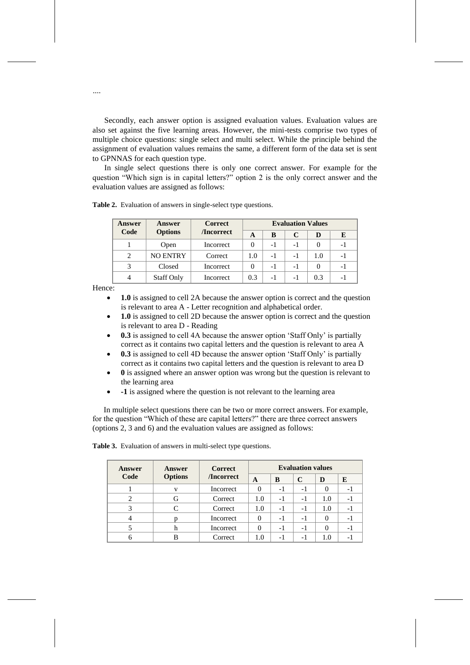Secondly, each answer option is assigned evaluation values. Evaluation values are also set against the five learning areas. However, the mini-tests comprise two types of multiple choice questions: single select and multi select. While the principle behind the assignment of evaluation values remains the same, a different form of the data set is sent to GPNNAS for each question type.

In single select questions there is only one correct answer. For example for the question "Which sign is in capital letters?" option 2 is the only correct answer and the evaluation values are assigned as follows:

| Answer | Answer                               | <b>Correct</b> | <b>Evaluation Values</b> |    |      |     |      |  |  |  |  |
|--------|--------------------------------------|----------------|--------------------------|----|------|-----|------|--|--|--|--|
|        | Code<br><b>Options</b><br>/Incorrect |                | A                        | B  | C    | D   | E    |  |  |  |  |
|        | Open                                 | Incorrect      |                          | -1 | $-1$ |     | -1   |  |  |  |  |
| 2      | <b>NO ENTRY</b>                      | Correct        | 1.0                      | -1 | $-1$ | 1.0 | -1   |  |  |  |  |
|        | Closed                               | Incorrect      |                          | -1 | $-1$ |     | $-1$ |  |  |  |  |
|        | <b>Staff Only</b>                    | Incorrect      | 0.3                      | -1 | -1   | 0.3 | -1   |  |  |  |  |

**Table 2.** Evaluation of answers in single-select type questions.

Hence:

- **1.0** is assigned to cell 2A because the answer option is correct and the question is relevant to area A - Letter recognition and alphabetical order.
- **1.0** is assigned to cell 2D because the answer option is correct and the question is relevant to area D - Reading
- 0.3 is assigned to cell 4A because the answer option 'Staff Only' is partially correct as it contains two capital letters and the question is relevant to area A
- **0.3** is assigned to cell 4D because the answer option 'Staff Only' is partially correct as it contains two capital letters and the question is relevant to area D
- **0** is assigned where an answer option was wrong but the question is relevant to the learning area
- **-1** is assigned where the question is not relevant to the learning area

In multiple select questions there can be two or more correct answers. For example, for the question "Which of these are capital letters?" there are three correct answers (options 2, 3 and 6) and the evaluation values are assigned as follows:

| Answer | Answer            | <b>Correct</b> | <b>Evaluation values</b> |      |      |     |     |  |  |  |  |
|--------|-------------------|----------------|--------------------------|------|------|-----|-----|--|--|--|--|
| Code   | <b>Options</b>    | /Incorrect     | A                        | B    | C    | D   | E   |  |  |  |  |
|        | V                 | Incorrect      |                          | -1   | -1   |     | - 1 |  |  |  |  |
|        | G                 | Correct        | 1.0                      | - 1  | -1   | 1.0 |     |  |  |  |  |
|        | $\mathsf{\Gamma}$ | Correct        | 1.0                      | $-1$ | -1   | 1.0 |     |  |  |  |  |
|        | n                 | Incorrect      |                          | $-1$ | $-1$ |     |     |  |  |  |  |
|        | h                 | Incorrect      |                          | -1   | -1   |     |     |  |  |  |  |
|        |                   | Correct        | 1.0                      | - 1  | - 1  | 1.0 |     |  |  |  |  |

**Table 3.** Evaluation of answers in multi-select type questions.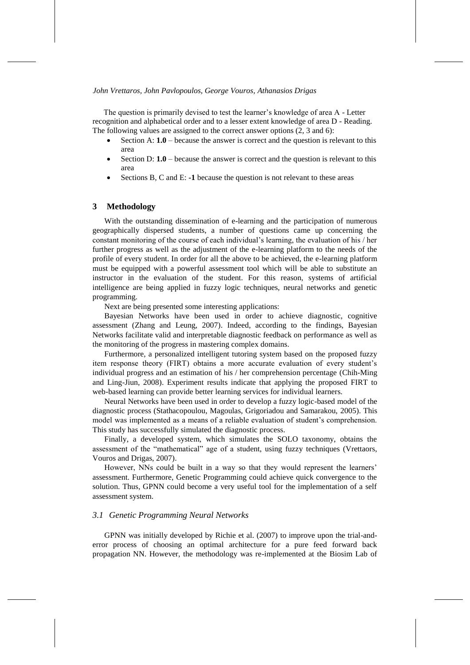The question is primarily devised to test the learner"s knowledge of area A - Letter recognition and alphabetical order and to a lesser extent knowledge of area D - Reading. The following values are assigned to the correct answer options (2, 3 and 6):

- Section A: **1.0** because the answer is correct and the question is relevant to this area
- Section D: **1.0** because the answer is correct and the question is relevant to this area
- Sections B, C and E: **-1** because the question is not relevant to these areas

#### **3 Methodology**

With the outstanding dissemination of e-learning and the participation of numerous geographically dispersed students, a number of questions came up concerning the constant monitoring of the course of each individual"s learning, the evaluation of his / her further progress as well as the adjustment of the e-learning platform to the needs of the profile of every student. In order for all the above to be achieved, the e-learning platform must be equipped with a powerful assessment tool which will be able to substitute an instructor in the evaluation of the student. For this reason, systems of artificial intelligence are being applied in fuzzy logic techniques, neural networks and genetic programming.

Next are being presented some interesting applications:

Bayesian Networks have been used in order to achieve diagnostic, cognitive assessment (Zhang and Leung, 2007). Indeed, according to the findings, Bayesian Networks facilitate valid and interpretable diagnostic feedback on performance as well as the monitoring of the progress in mastering complex domains.

Furthermore, a personalized intelligent tutoring system based on the proposed fuzzy item response theory (FIRT) obtains a more accurate evaluation of every student"s individual progress and an estimation of his / her comprehension percentage (Chih-Ming and Ling-Jiun, 2008). Experiment results indicate that applying the proposed FIRT to web-based learning can provide better learning services for individual learners.

Neural Networks have been used in order to develop a fuzzy logic-based model of the diagnostic process (Stathacopoulou, Magoulas, Grigoriadou and Samarakou, 2005). This model was implemented as a means of a reliable evaluation of student's comprehension. This study has successfully simulated the diagnostic process.

Finally, a developed system, which simulates the SOLO taxonomy, obtains the assessment of the "mathematical" age of a student, using fuzzy techniques (Vrettaors, Vouros and Drigas, 2007).

However, NNs could be built in a way so that they would represent the learners' assessment. Furthermore, Genetic Programming could achieve quick convergence to the solution. Thus, GPNN could become a very useful tool for the implementation of a self assessment system.

#### *3.1 Genetic Programming Neural Networks*

GPNN was initially developed by Richie et al. (2007) to improve upon the trial-anderror process of choosing an optimal architecture for a pure feed forward back propagation NN. However, the methodology was re-implemented at the Biosim Lab of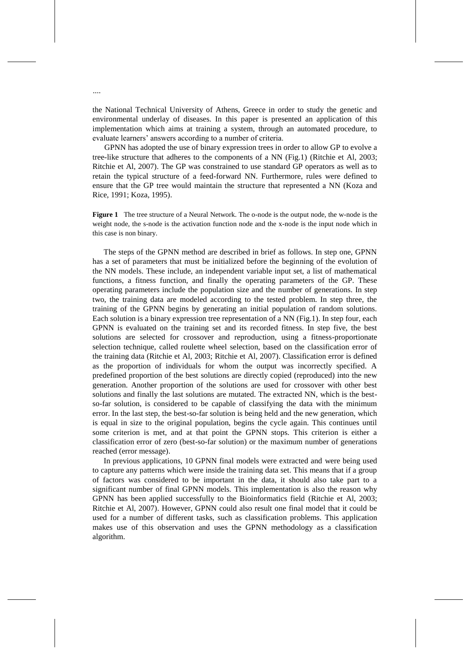the National Technical University of Athens, Greece in order to study the genetic and environmental underlay of diseases. In this paper is presented an application of this implementation which aims at training a system, through an automated procedure, to evaluate learners' answers according to a number of criteria.

GPNN has adopted the use of binary expression trees in order to allow GP to evolve a tree-like structure that adheres to the components of a NN (Fig.1) (Ritchie et Al, 2003; Ritchie et Al, 2007). The GP was constrained to use standard GP operators as well as to retain the typical structure of a feed-forward NN. Furthermore, rules were defined to ensure that the GP tree would maintain the structure that represented a NN (Koza and Rice, 1991; Koza, 1995).

**Figure 1** The tree structure of a Neural Network. The o-node is the output node, the w-node is the weight node, the s-node is the activation function node and the x-node is the input node which in this case is non binary.

The steps of the GPNN method are described in brief as follows. In step one, GPNN has a set of parameters that must be initialized before the beginning of the evolution of the NN models. These include, an independent variable input set, a list of mathematical functions, a fitness function, and finally the operating parameters of the GP. These operating parameters include the population size and the number of generations. In step two, the training data are modeled according to the tested problem. In step three, the training of the GPNN begins by generating an initial population of random solutions. Each solution is a binary expression tree representation of a NN (Fig.1). In step four, each GPNN is evaluated on the training set and its recorded fitness. In step five, the best solutions are selected for crossover and reproduction, using a fitness-proportionate selection technique, called roulette wheel selection, based on the classification error of the training data (Ritchie et Al, 2003; Ritchie et Al, 2007). Classification error is defined as the proportion of individuals for whom the output was incorrectly specified. A predefined proportion of the best solutions are directly copied (reproduced) into the new generation. Another proportion of the solutions are used for crossover with other best solutions and finally the last solutions are mutated. The extracted NN, which is the bestso-far solution, is considered to be capable of classifying the data with the minimum error. In the last step, the best-so-far solution is being held and the new generation, which is equal in size to the original population, begins the cycle again. This continues until some criterion is met, and at that point the GPNN stops. This criterion is either a classification error of zero (best-so-far solution) or the maximum number of generations reached (error message).

In previous applications, 10 GPNN final models were extracted and were being used to capture any patterns which were inside the training data set. This means that if a group of factors was considered to be important in the data, it should also take part to a significant number of final GPNN models. This implementation is also the reason why GPNN has been applied successfully to the Bioinformatics field (Ritchie et Al, 2003; Ritchie et Al, 2007). However, GPNN could also result one final model that it could be used for a number of different tasks, such as classification problems. This application makes use of this observation and uses the GPNN methodology as a classification algorithm.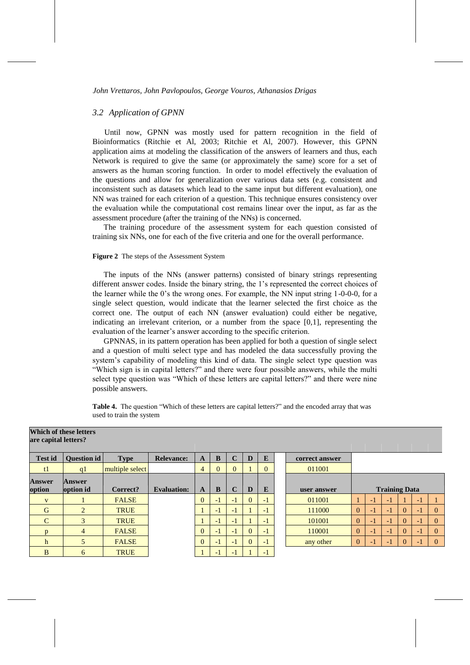#### *3.2 Application of GPNN*

Until now, GPNN was mostly used for pattern recognition in the field of Bioinformatics (Ritchie et Al, 2003; Ritchie et Al, 2007). However, this GPNN application aims at modeling the classification of the answers of learners and thus, each Network is required to give the same (or approximately the same) score for a set of answers as the human scoring function. In order to model effectively the evaluation of the questions and allow for generalization over various data sets (e.g. consistent and inconsistent such as datasets which lead to the same input but different evaluation), one NN was trained for each criterion of a question. This technique ensures consistency over the evaluation while the computational cost remains linear over the input, as far as the assessment procedure (after the training of the NNs) is concerned.

The training procedure of the assessment system for each question consisted of training six NNs, one for each of the five criteria and one for the overall performance.

#### **Figure 2** The steps of the Assessment System

**Which of these letters** 

The inputs of the NNs (answer patterns) consisted of binary strings representing different answer codes. Inside the binary string, the 1's represented the correct choices of the learner while the 0"s the wrong ones. For example, the NN input string 1-0-0-0, for a single select question, would indicate that the learner selected the first choice as the correct one. The output of each NN (answer evaluation) could either be negative, indicating an irrelevant criterion, or a number from the space [0,1], representing the evaluation of the learner"s answer according to the specific criterion.

GPNNAS, in its pattern operation has been applied for both a question of single select and a question of multi select type and has modeled the data successfully proving the system"s capability of modeling this kind of data. The single select type question was "Which sign is in capital letters?" and there were four possible answers, while the multi select type question was "Which of these letters are capital letters?" and there were nine possible answers.

**Table 4.** The question "Which of these letters are capital letters?" and the encoded array that was used to train the system

| THREE OF GROSS Retter b<br>are capital letters? |                            |                 |                    |                |          |                          |          |                |                |              |     |                      |          |      |          |
|-------------------------------------------------|----------------------------|-----------------|--------------------|----------------|----------|--------------------------|----------|----------------|----------------|--------------|-----|----------------------|----------|------|----------|
| <b>Test id</b>                                  | <b>Question id</b>         | <b>Type</b>     | <b>Relevance:</b>  | A              | B        | C                        | D        | E              | correct answer |              |     |                      |          |      |          |
| t1                                              | q1                         | multiple select |                    | $\overline{4}$ | $\Omega$ | $\Omega$                 |          | $\overline{0}$ | 011001         |              |     |                      |          |      |          |
| <b>Answer</b><br>option                         | <b>Answer</b><br>option id | Correct?        | <b>Evaluation:</b> | A              | B        | $\mathbf C$              | D        | E              | user answer    |              |     | <b>Training Data</b> |          |      |          |
| $\mathbf{V}$                                    |                            | <b>FALSE</b>    |                    | $\Omega$       | $-1$     | $-1$                     | $\Omega$ | $-1$           | 011001         |              | -1  | ÷.                   |          | $-1$ |          |
| G                                               | $\overline{2}$             | <b>TRUE</b>     |                    |                | $-1$     | $\blacksquare$           |          | $-1$           | 111000         | $\Omega$     | - 1 | - 1                  | $\Omega$ | $-1$ | $\Omega$ |
| $\mathcal{C}$                                   | 3                          | <b>TRUE</b>     |                    |                | $-1$     | $\overline{\phantom{0}}$ |          | $-1$           | 101001         | $\Omega$     | - 1 | $\overline{a}$       | $\Omega$ | $-1$ | 0        |
|                                                 | 4                          | <b>FALSE</b>    |                    | $\Omega$       | $-1$     | $-1$                     | $\Omega$ | $-1$           | 110001         | $\mathbf{0}$ | - 1 | $-1$                 | $\Omega$ | $-1$ | $\Omega$ |
| h                                               | 5                          | <b>FALSE</b>    |                    | $\Omega$       | $-1$     | $-1$                     | $\Omega$ | $-1$           | any other      | $\mathbf{0}$ | - 1 | $-1$                 | $\Omega$ | $-1$ | $\Omega$ |
| B                                               | 6                          | <b>TRUE</b>     |                    |                | $-1$     | - 1                      |          | $-1$           |                |              |     |                      |          |      |          |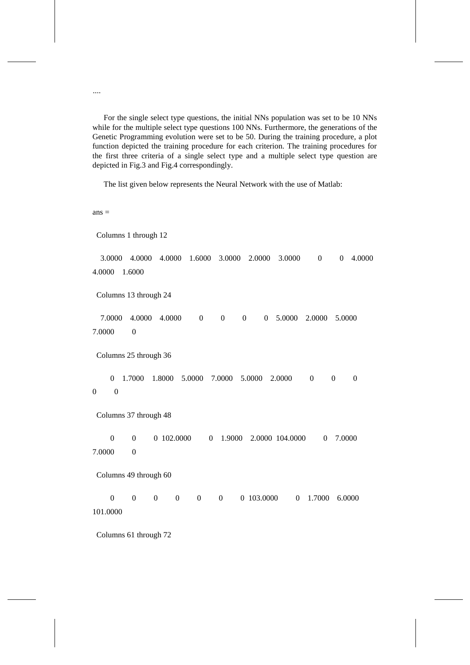For the single select type questions, the initial NNs population was set to be 10 NNs while for the multiple select type questions 100 NNs. Furthermore, the generations of the Genetic Programming evolution were set to be 50. During the training procedure, a plot function depicted the training procedure for each criterion. The training procedures for the first three criteria of a single select type and a multiple select type question are depicted in Fig.3 and Fig.4 correspondingly.

The list given below represents the Neural Network with the use of Matlab:

```
ans = Columns 1 through 12 
  3.0000 4.0000 4.0000 1.6000 3.0000 2.0000 3.0000 0 0 4.0000 
4.0000 1.6000
 Columns 13 through 24 
  7.0000 4.0000 4.0000 0 0 0 0 5.0000 2.0000 5.0000 
7.0000 0
 Columns 25 through 36 
     0 1.7000 1.8000 5.0000 7.0000 5.0000 2.0000 0 0 0 
0 0
 Columns 37 through 48 
    0 0 0 102.0000 0 1.9000 2.0000 104.0000 0 7.0000 
7.0000 0
 Columns 49 through 60 
    0 0 0 0 0 0 0 103.0000 0 1.7000 6.0000 
101.0000
 Columns 61 through 72
```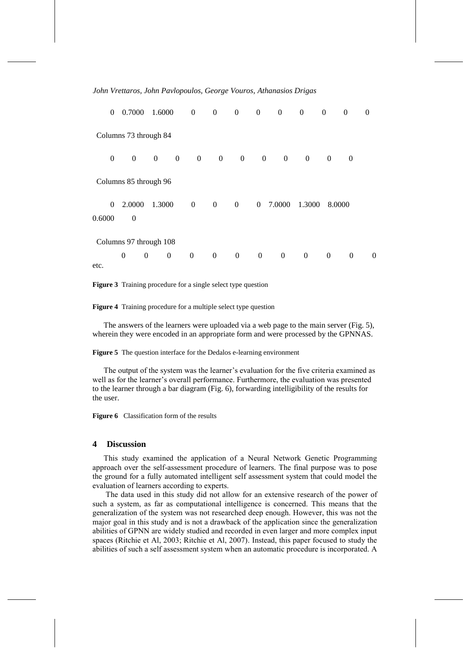| $\boldsymbol{0}$         | 0.7000                 | 1.6000       |                  | $\boldsymbol{0}$ | $\boldsymbol{0}$ | $\boldsymbol{0}$ | $\mathbf{0}$     | $\mathbf{0}$     | $\mathbf{0}$     | $\overline{0}$ | $\mathbf{0}$ | 0        |
|--------------------------|------------------------|--------------|------------------|------------------|------------------|------------------|------------------|------------------|------------------|----------------|--------------|----------|
|                          | Columns 73 through 84  |              |                  |                  |                  |                  |                  |                  |                  |                |              |          |
| $\boldsymbol{0}$         | $\boldsymbol{0}$       | $\mathbf{0}$ | $\boldsymbol{0}$ | $\boldsymbol{0}$ | $\boldsymbol{0}$ | $\overline{0}$   | $\overline{0}$   | $\boldsymbol{0}$ | $\boldsymbol{0}$ | $\mathbf{0}$   | $\mathbf{0}$ |          |
|                          | Columns 85 through 96  |              |                  |                  |                  |                  |                  |                  |                  |                |              |          |
| $\overline{0}$<br>0.6000 | 2.0000<br>$\mathbf{0}$ | 1.3000       |                  | $\boldsymbol{0}$ | $\boldsymbol{0}$ | $\boldsymbol{0}$ | $\boldsymbol{0}$ | 7.0000           | 1.3000           | 8.0000         |              |          |
|                          | Columns 97 through 108 |              |                  |                  |                  |                  |                  |                  |                  |                |              |          |
| etc.                     | $\overline{0}$         | $\mathbf{0}$ | $\boldsymbol{0}$ | $\theta$         | $\overline{0}$   | $\boldsymbol{0}$ | $\boldsymbol{0}$ | $\mathbf{0}$     | $\boldsymbol{0}$ | $\mathbf{0}$   | $\mathbf{0}$ | $\theta$ |

**Figure 3** Training procedure for a single select type question

**Figure 4** Training procedure for a multiple select type question

The answers of the learners were uploaded via a web page to the main server (Fig. 5), wherein they were encoded in an appropriate form and were processed by the GPNNAS.

**Figure 5** The question interface for the Dedalos e-learning environment

The output of the system was the learner's evaluation for the five criteria examined as well as for the learner's overall performance. Furthermore, the evaluation was presented to the learner through a bar diagram (Fig. 6), forwarding intelligibility of the results for the user.

**Figure 6** Classification form of the results

#### **4 Discussion**

This study examined the application of a Neural Network Genetic Programming approach over the self-assessment procedure of learners. The final purpose was to pose the ground for a fully automated intelligent self assessment system that could model the evaluation of learners according to experts.

The data used in this study did not allow for an extensive research of the power of such a system, as far as computational intelligence is concerned. This means that the generalization of the system was not researched deep enough. However, this was not the major goal in this study and is not a drawback of the application since the generalization abilities of GPNN are widely studied and recorded in even larger and more complex input spaces (Ritchie et Al, 2003; Ritchie et Al, 2007). Instead, this paper focused to study the abilities of such a self assessment system when an automatic procedure is incorporated. A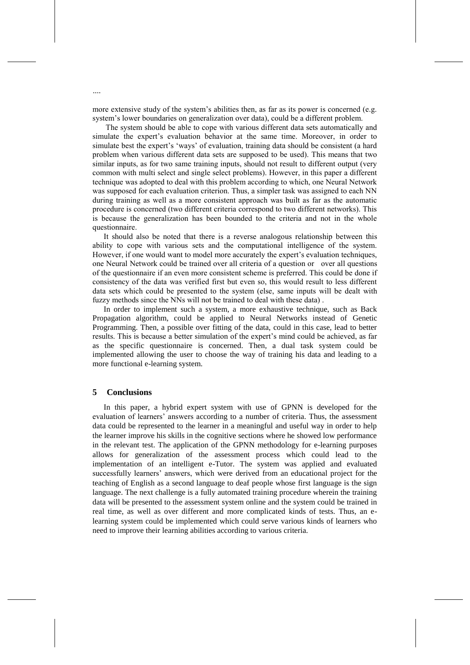more extensive study of the system's abilities then, as far as its power is concerned (e.g. system's lower boundaries on generalization over data), could be a different problem.

The system should be able to cope with various different data sets automatically and simulate the expert's evaluation behavior at the same time. Moreover, in order to simulate best the expert's 'ways' of evaluation, training data should be consistent (a hard problem when various different data sets are supposed to be used). This means that two similar inputs, as for two same training inputs, should not result to different output (very common with multi select and single select problems). However, in this paper a different technique was adopted to deal with this problem according to which, one Neural Network was supposed for each evaluation criterion. Thus, a simpler task was assigned to each NN during training as well as a more consistent approach was built as far as the automatic procedure is concerned (two different criteria correspond to two different networks). This is because the generalization has been bounded to the criteria and not in the whole questionnaire.

It should also be noted that there is a reverse analogous relationship between this ability to cope with various sets and the computational intelligence of the system. However, if one would want to model more accurately the expert's evaluation techniques, one Neural Network could be trained over all criteria of a question or over all questions of the questionnaire if an even more consistent scheme is preferred. This could be done if consistency of the data was verified first but even so, this would result to less different data sets which could be presented to the system (else, same inputs will be dealt with fuzzy methods since the NNs will not be trained to deal with these data) .

In order to implement such a system, a more exhaustive technique, such as Back Propagation algorithm, could be applied to Neural Networks instead of Genetic Programming. Then, a possible over fitting of the data, could in this case, lead to better results. This is because a better simulation of the expert"s mind could be achieved, as far as the specific questionnaire is concerned. Then, a dual task system could be implemented allowing the user to choose the way of training his data and leading to a more functional e-learning system.

#### **5 Conclusions**

In this paper, a hybrid expert system with use of GPNN is developed for the evaluation of learners" answers according to a number of criteria. Thus, the assessment data could be represented to the learner in a meaningful and useful way in order to help the learner improve his skills in the cognitive sections where he showed low performance in the relevant test. The application of the GPNN methodology for e-learning purposes allows for generalization of the assessment process which could lead to the implementation of an intelligent e-Tutor. The system was applied and evaluated successfully learners' answers, which were derived from an educational project for the teaching of English as a second language to deaf people whose first language is the sign language. The next challenge is a fully automated training procedure wherein the training data will be presented to the assessment system online and the system could be trained in real time, as well as over different and more complicated kinds of tests. Thus, an elearning system could be implemented which could serve various kinds of learners who need to improve their learning abilities according to various criteria.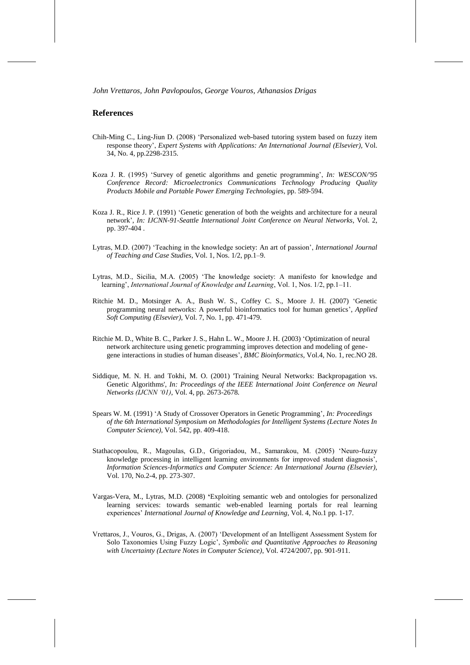#### **References**

- Chih-Ming C., Ling-Jiun D. (2008) "Personalized web-based tutoring system based on fuzzy item response theory", *Expert Systems with Applications: An International Journal (Elsevier),* Vol. 34, No. 4, pp.2298-2315.
- Koza J. R. (1995) "Survey of genetic algorithms and genetic programming", *In: WESCON/'95 Conference Record: Microelectronics Communications Technology Producing Quality Products Mobile and Portable Power Emerging Technologies*, pp. 589-594.
- Koza J. R., Rice J. P. (1991) "Genetic generation of both the weights and architecture for a neural network", *In: IJCNN-91-Seattle International Joint Conference on Neural Networks*, Vol. 2, pp. 397-404 .
- Lytras, M.D. (2007) "Teaching in the knowledge society: An art of passion", *International Journal of Teaching and Case Studies*, Vol. 1, Nos. 1/2, pp.1–9.
- Lytras, M.D., Sicilia, M.A. (2005) 'The knowledge society: A manifesto for knowledge and learning', *International Journal of Knowledge and Learning*, Vol. 1, Nos. 1/2, pp.1–11.
- Ritchie M. D., Motsinger A. A., Bush W. S., Coffey C. S., Moore J. H. (2007) "Genetic programming neural networks: A powerful bioinformatics tool for human genetics", *Applied Soft Computing (Elsevier)*, Vol. 7, No. 1, pp. 471-479.
- Ritchie M. D., White B. C., Parker J. S., Hahn L. W., Moore J. H. (2003) "Optimization of neural network architecture using genetic programming improves detection and modeling of genegene interactions in studies of human diseases", *BMC Bioinformatics,* Vol.4, No. 1, rec.NO 28.
- Siddique, M. N. H. and Tokhi, M. O. (2001) 'Training Neural Networks: Backpropagation vs. Genetic Algorithms', *In: Proceedings of the IEEE International Joint Conference on Neural Networks (IJCNN '01)*, Vol. 4, pp. 2673-2678.
- Spears W. M. (1991) "A Study of Crossover Operators in Genetic Programming", *In: Proceedings of the 6th International Symposium on Methodologies for Intelligent Systems (Lecture Notes In Computer Science),* Vol. 542, pp. 409-418.
- Stathacopoulou, R., Magoulas, G.D., Grigoriadou, M., Samarakou, M. (2005) "Neuro-fuzzy knowledge processing in intelligent learning environments for improved student diagnosis", *Information Sciences-Informatics and Computer Science: An International Journa (Elsevier)*, Vol. 170, No.2-4, pp. 273-307.
- Vargas-Vera, M., Lytras, M.D. (2008) **'**Exploiting semantic web and ontologies for personalized learning services: towards semantic web-enabled learning portals for real learning experiences" *International Journal of Knowledge and Learning,* Vol. 4, No.1 pp. 1-17.
- Vrettaros, J., Vouros, G., Drigas, A. (2007) "Development of an Intelligent Assessment System for Solo Taxonomies Using Fuzzy Logic", *Symbolic and Quantitative Approaches to Reasoning with Uncertainty (Lecture Notes in Computer Science)*, Vol. 4724/2007, pp. 901-911.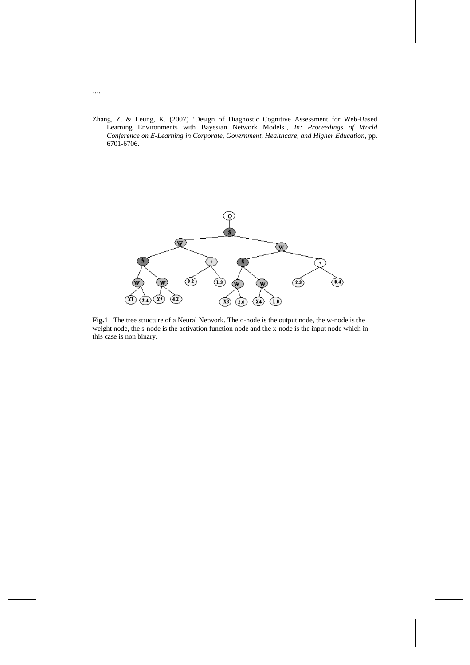Zhang, Z. & Leung, K. (2007) "Design of Diagnostic Cognitive Assessment for Web-Based Learning Environments with Bayesian Network Models", *In: Proceedings of World Conference on E-Learning in Corporate, Government, Healthcare, and Higher Education,* pp. 6701-6706.



**Fig.1** The tree structure of a Neural Network. The o-node is the output node, the w-node is the weight node, the s-node is the activation function node and the x-node is the input node which in this case is non binary.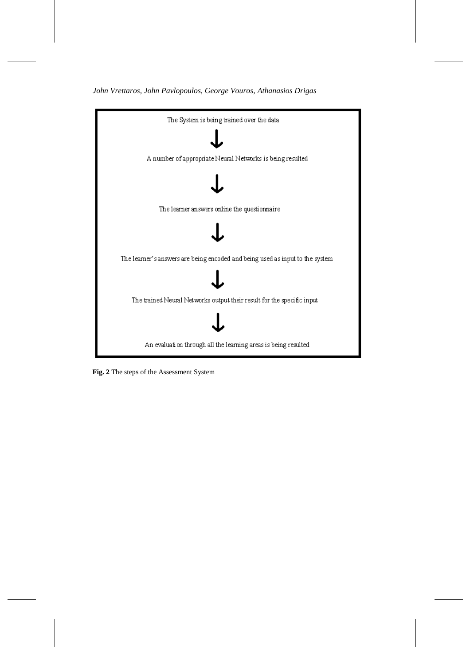

**Fig. 2** The steps of the Assessment System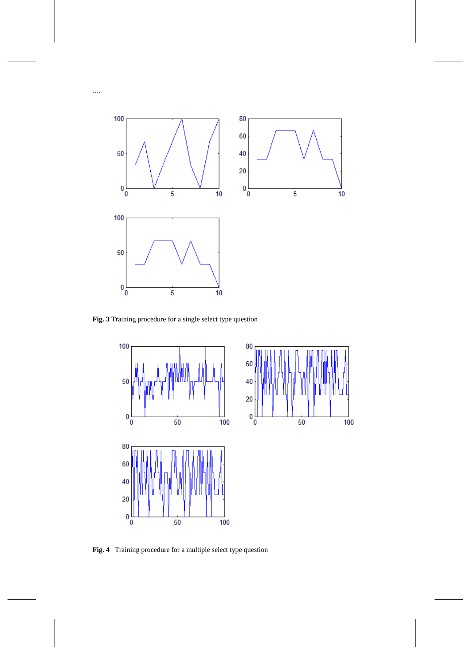

**Fig. 3** Training procedure for a single select type question





**Fig. 4** Training procedure for a multiple select type question